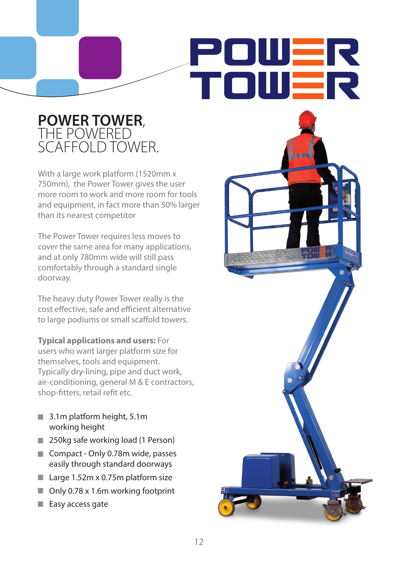# POWER TOWER

## P**OWER TOWER,<br>THE POWERED** SCAFFOLD TOWER.

With a large work platform (1520mm x 750mm), the Power Tower gives the user more room to work and more room for tools and equipment, in fact more than 50% larger than its nearest competitor

The Power Tower requires less moves to cover the same area for many applications. and at only 780mm wide will still pass comfortably through a standard single doorway.

The heavy duty Power Tower really is the cost effective, safe and efficient alternative to large podiums or small scaffold towers.

**Typical applications and users:** For users who want larger platform size for themselves, tools and equipment. Typically dry-lining, pipe and duct work, air-conditioning, general M & E contractors, shop-fitters, retail refit etc.

- 3.1m platform height, 5.1m working height
- 250kg safe working load (1 Person)
- Compact Only 0.78m wide, passes easily through standard doorways
- $\blacksquare$  Large 1.52m x 0.75m platform size
- Only 0.78 x 1.6m working footprint

12

Easy access gate